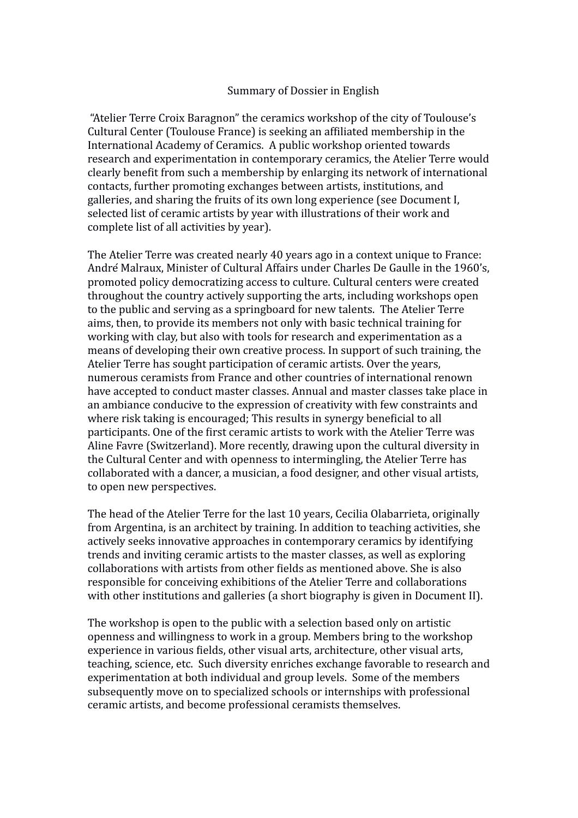## Summary of Dossier in English

 "Atelier Terre Croix Baragnon" the ceramics workshop of the city of Toulouse's Cultural Center (Toulouse France) is seeking an affiliated membership in the International Academy of Ceramics. A public workshop oriented towards research and experimentation in contemporary ceramics, the Atelier Terre would clearly benefit from such a membership by enlarging its network of international contacts, further promoting exchanges between artists, institutions, and galleries, and sharing the fruits of its own long experience (see Document I, selected list of ceramic artists by year with illustrations of their work and complete list of all activities by year).

The Atelier Terre was created nearly 40 years ago in a context unique to France: André Malraux, Minister of Cultural Affairs under Charles De Gaulle in the 1960's, promoted policy democratizing access to culture. Cultural centers were created throughout the country actively supporting the arts, including workshops open to the public and serving as a springboard for new talents. The Atelier Terre aims, then, to provide its members not only with basic technical training for working with clay, but also with tools for research and experimentation as a means of developing their own creative process. In support of such training, the Atelier Terre has sought participation of ceramic artists. Over the years, numerous ceramists from France and other countries of international renown have accepted to conduct master classes. Annual and master classes take place in an ambiance conducive to the expression of creativity with few constraints and where risk taking is encouraged; This results in synergy beneficial to all participants. One of the first ceramic artists to work with the Atelier Terre was Aline Favre (Switzerland). More recently, drawing upon the cultural diversity in the Cultural Center and with openness to intermingling, the Atelier Terre has collaborated with a dancer, a musician, a food designer, and other visual artists, to open new perspectives.

The head of the Atelier Terre for the last 10 years, Cecilia Olabarrieta, originally from Argentina, is an architect by training. In addition to teaching activities, she actively seeks innovative approaches in contemporary ceramics by identifying trends and inviting ceramic artists to the master classes, as well as exploring collaborations with artists from other fields as mentioned above. She is also responsible for conceiving exhibitions of the Atelier Terre and collaborations with other institutions and galleries (a short biography is given in Document II).

The workshop is open to the public with a selection based only on artistic openness and willingness to work in a group. Members bring to the workshop experience in various fields, other visual arts, architecture, other visual arts, teaching, science, etc. Such diversity enriches exchange favorable to research and experimentation at both individual and group levels. Some of the members subsequently move on to specialized schools or internships with professional ceramic artists, and become professional ceramists themselves.